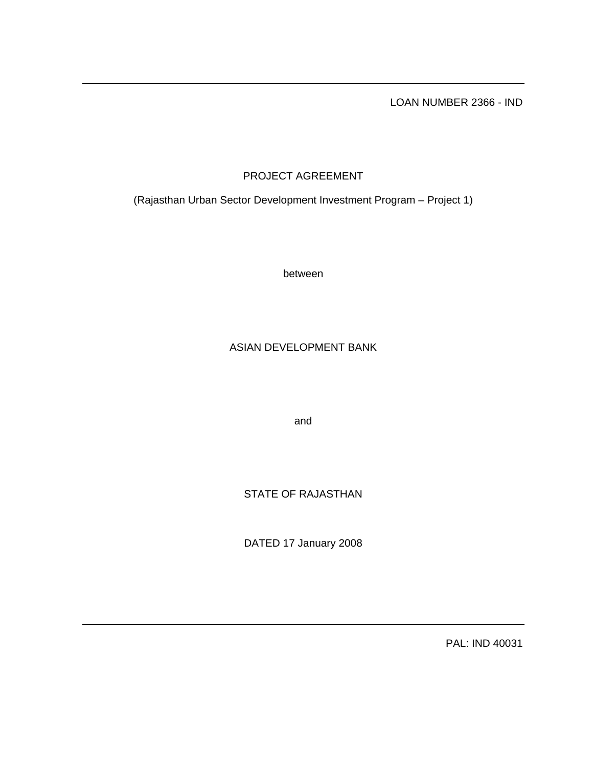LOAN NUMBER 2366 - IND

# PROJECT AGREEMENT

(Rajasthan Urban Sector Development Investment Program – Project 1)

between

# ASIAN DEVELOPMENT BANK

and

STATE OF RAJASTHAN

DATED 17 January 2008

PAL: IND 40031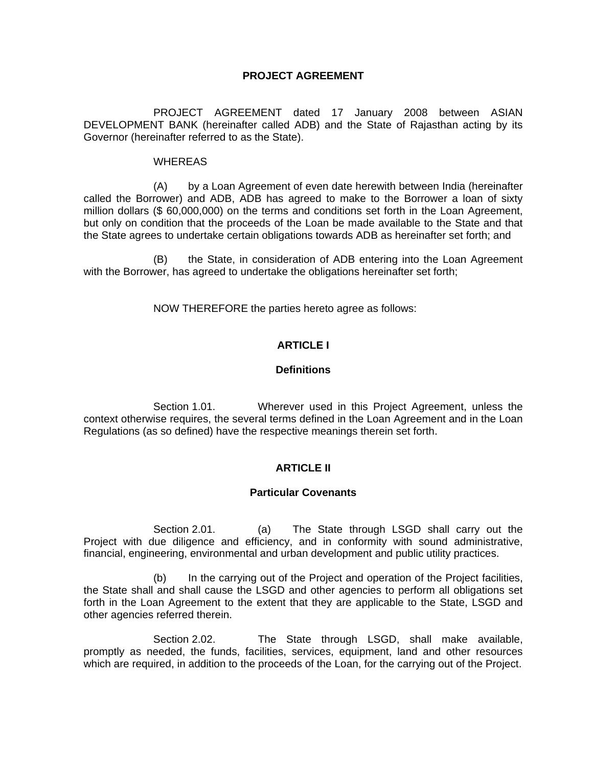# **PROJECT AGREEMENT**

 PROJECT AGREEMENT dated 17 January 2008 between ASIAN DEVELOPMENT BANK (hereinafter called ADB) and the State of Rajasthan acting by its Governor (hereinafter referred to as the State).

### WHEREAS

 (A) by a Loan Agreement of even date herewith between India (hereinafter called the Borrower) and ADB, ADB has agreed to make to the Borrower a loan of sixty million dollars (\$ 60,000,000) on the terms and conditions set forth in the Loan Agreement, but only on condition that the proceeds of the Loan be made available to the State and that the State agrees to undertake certain obligations towards ADB as hereinafter set forth; and

 (B) the State, in consideration of ADB entering into the Loan Agreement with the Borrower, has agreed to undertake the obligations hereinafter set forth;

NOW THEREFORE the parties hereto agree as follows:

# **ARTICLE I**

### **Definitions**

 Section 1.01. Wherever used in this Project Agreement, unless the context otherwise requires, the several terms defined in the Loan Agreement and in the Loan Regulations (as so defined) have the respective meanings therein set forth.

## **ARTICLE II**

## **Particular Covenants**

 Section 2.01. (a) The State through LSGD shall carry out the Project with due diligence and efficiency, and in conformity with sound administrative, financial, engineering, environmental and urban development and public utility practices.

 (b) In the carrying out of the Project and operation of the Project facilities, the State shall and shall cause the LSGD and other agencies to perform all obligations set forth in the Loan Agreement to the extent that they are applicable to the State, LSGD and other agencies referred therein.

Section 2.02. The State through LSGD, shall make available, promptly as needed, the funds, facilities, services, equipment, land and other resources which are required, in addition to the proceeds of the Loan, for the carrying out of the Project.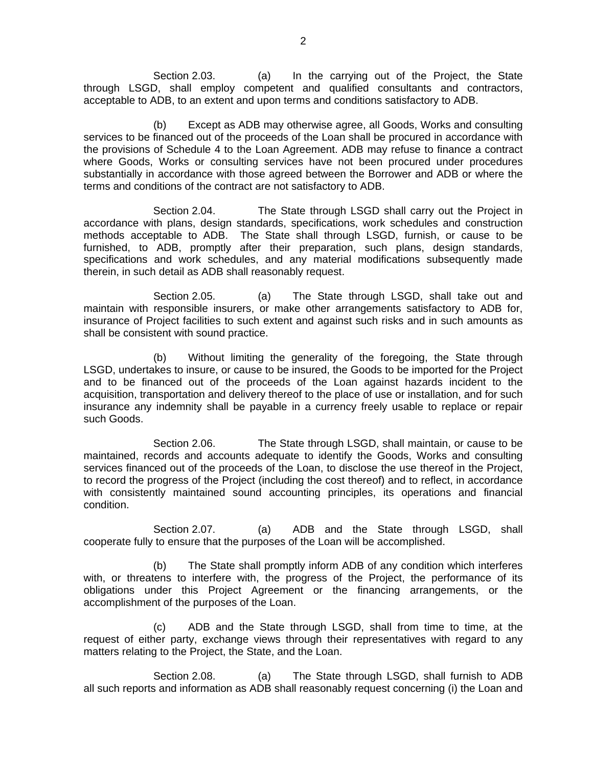Section 2.03. (a) In the carrying out of the Project, the State through LSGD, shall employ competent and qualified consultants and contractors, acceptable to ADB, to an extent and upon terms and conditions satisfactory to ADB.

 (b) Except as ADB may otherwise agree, all Goods, Works and consulting services to be financed out of the proceeds of the Loan shall be procured in accordance with the provisions of Schedule 4 to the Loan Agreement. ADB may refuse to finance a contract where Goods, Works or consulting services have not been procured under procedures substantially in accordance with those agreed between the Borrower and ADB or where the terms and conditions of the contract are not satisfactory to ADB.

 Section 2.04. The State through LSGD shall carry out the Project in accordance with plans, design standards, specifications, work schedules and construction methods acceptable to ADB. The State shall through LSGD, furnish, or cause to be furnished, to ADB, promptly after their preparation, such plans, design standards, specifications and work schedules, and any material modifications subsequently made therein, in such detail as ADB shall reasonably request.

 Section 2.05. (a) The State through LSGD, shall take out and maintain with responsible insurers, or make other arrangements satisfactory to ADB for, insurance of Project facilities to such extent and against such risks and in such amounts as shall be consistent with sound practice.

 (b) Without limiting the generality of the foregoing, the State through LSGD, undertakes to insure, or cause to be insured, the Goods to be imported for the Project and to be financed out of the proceeds of the Loan against hazards incident to the acquisition, transportation and delivery thereof to the place of use or installation, and for such insurance any indemnity shall be payable in a currency freely usable to replace or repair such Goods.

 Section 2.06. The State through LSGD, shall maintain, or cause to be maintained, records and accounts adequate to identify the Goods, Works and consulting services financed out of the proceeds of the Loan, to disclose the use thereof in the Project, to record the progress of the Project (including the cost thereof) and to reflect, in accordance with consistently maintained sound accounting principles, its operations and financial condition.

Section 2.07. (a) ADB and the State through LSGD, shall cooperate fully to ensure that the purposes of the Loan will be accomplished.

 (b) The State shall promptly inform ADB of any condition which interferes with, or threatens to interfere with, the progress of the Project, the performance of its obligations under this Project Agreement or the financing arrangements, or the accomplishment of the purposes of the Loan.

 (c) ADB and the State through LSGD, shall from time to time, at the request of either party, exchange views through their representatives with regard to any matters relating to the Project, the State, and the Loan.

Section 2.08. (a) The State through LSGD, shall furnish to ADB all such reports and information as ADB shall reasonably request concerning (i) the Loan and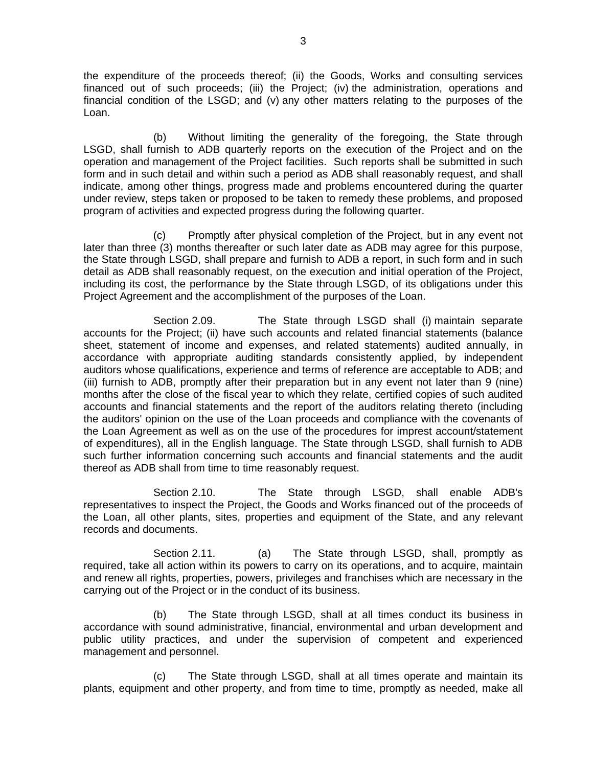the expenditure of the proceeds thereof; (ii) the Goods, Works and consulting services financed out of such proceeds; (iii) the Project; (iv) the administration, operations and financial condition of the LSGD; and (v) any other matters relating to the purposes of the Loan.

 (b) Without limiting the generality of the foregoing, the State through LSGD, shall furnish to ADB quarterly reports on the execution of the Project and on the operation and management of the Project facilities. Such reports shall be submitted in such form and in such detail and within such a period as ADB shall reasonably request, and shall indicate, among other things, progress made and problems encountered during the quarter under review, steps taken or proposed to be taken to remedy these problems, and proposed program of activities and expected progress during the following quarter.

 (c) Promptly after physical completion of the Project, but in any event not later than three (3) months thereafter or such later date as ADB may agree for this purpose, the State through LSGD, shall prepare and furnish to ADB a report, in such form and in such detail as ADB shall reasonably request, on the execution and initial operation of the Project, including its cost, the performance by the State through LSGD, of its obligations under this Project Agreement and the accomplishment of the purposes of the Loan.

 Section 2.09. The State through LSGD shall (i) maintain separate accounts for the Project; (ii) have such accounts and related financial statements (balance sheet, statement of income and expenses, and related statements) audited annually, in accordance with appropriate auditing standards consistently applied, by independent auditors whose qualifications, experience and terms of reference are acceptable to ADB; and (iii) furnish to ADB, promptly after their preparation but in any event not later than 9 (nine) months after the close of the fiscal year to which they relate, certified copies of such audited accounts and financial statements and the report of the auditors relating thereto (including the auditors' opinion on the use of the Loan proceeds and compliance with the covenants of the Loan Agreement as well as on the use of the procedures for imprest account/statement of expenditures), all in the English language. The State through LSGD, shall furnish to ADB such further information concerning such accounts and financial statements and the audit thereof as ADB shall from time to time reasonably request.

 Section 2.10. The State through LSGD, shall enable ADB's representatives to inspect the Project, the Goods and Works financed out of the proceeds of the Loan, all other plants, sites, properties and equipment of the State, and any relevant records and documents.

Section 2.11. (a) The State through LSGD, shall, promptly as required, take all action within its powers to carry on its operations, and to acquire, maintain and renew all rights, properties, powers, privileges and franchises which are necessary in the carrying out of the Project or in the conduct of its business.

 (b) The State through LSGD, shall at all times conduct its business in accordance with sound administrative, financial, environmental and urban development and public utility practices, and under the supervision of competent and experienced management and personnel.

 (c) The State through LSGD, shall at all times operate and maintain its plants, equipment and other property, and from time to time, promptly as needed, make all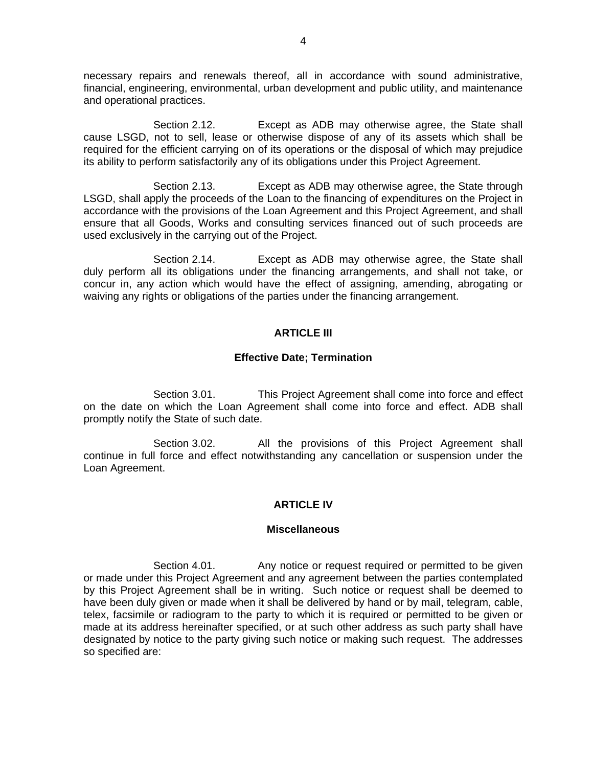necessary repairs and renewals thereof, all in accordance with sound administrative, financial, engineering, environmental, urban development and public utility, and maintenance and operational practices.

 Section 2.12. Except as ADB may otherwise agree, the State shall cause LSGD, not to sell, lease or otherwise dispose of any of its assets which shall be required for the efficient carrying on of its operations or the disposal of which may prejudice its ability to perform satisfactorily any of its obligations under this Project Agreement.

 Section 2.13. Except as ADB may otherwise agree, the State through LSGD, shall apply the proceeds of the Loan to the financing of expenditures on the Project in accordance with the provisions of the Loan Agreement and this Project Agreement, and shall ensure that all Goods, Works and consulting services financed out of such proceeds are used exclusively in the carrying out of the Project.

 Section 2.14. Except as ADB may otherwise agree, the State shall duly perform all its obligations under the financing arrangements, and shall not take, or concur in, any action which would have the effect of assigning, amending, abrogating or waiving any rights or obligations of the parties under the financing arrangement.

#### **ARTICLE III**

#### **Effective Date; Termination**

Section 3.01. This Project Agreement shall come into force and effect on the date on which the Loan Agreement shall come into force and effect. ADB shall promptly notify the State of such date.

Section 3.02. All the provisions of this Project Agreement shall continue in full force and effect notwithstanding any cancellation or suspension under the Loan Agreement.

## **ARTICLE IV**

#### **Miscellaneous**

Section 4.01. Any notice or request required or permitted to be given or made under this Project Agreement and any agreement between the parties contemplated by this Project Agreement shall be in writing. Such notice or request shall be deemed to have been duly given or made when it shall be delivered by hand or by mail, telegram, cable, telex, facsimile or radiogram to the party to which it is required or permitted to be given or made at its address hereinafter specified, or at such other address as such party shall have designated by notice to the party giving such notice or making such request. The addresses so specified are: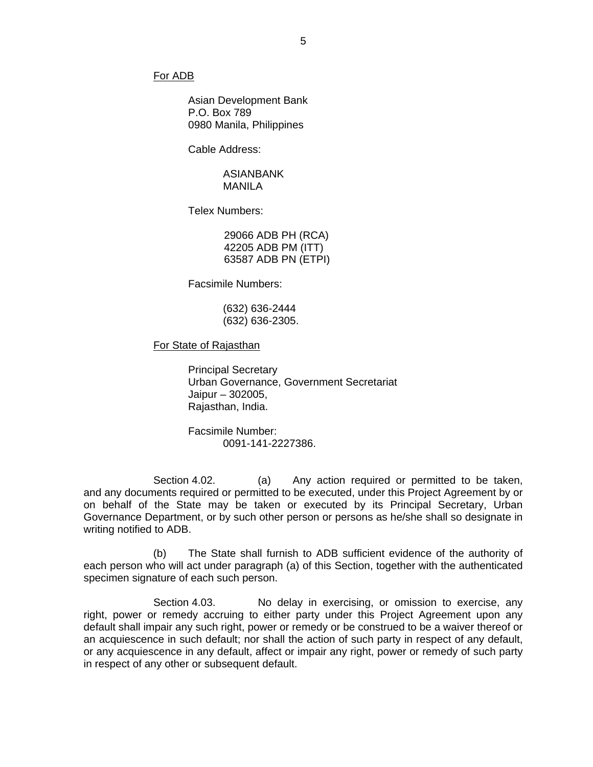#### For ADB

Asian Development Bank P.O. Box 789 0980 Manila, Philippines

Cable Address:

#### ASIANBANK MANILA

Telex Numbers:

29066 ADB PH (RCA) 42205 ADB PM (ITT) 63587 ADB PN (ETPI)

Facsimile Numbers:

 (632) 636-2444 (632) 636-2305.

For State of Rajasthan

 Principal Secretary Urban Governance, Government Secretariat Jaipur – 302005, Rajasthan, India.

 Facsimile Number: 0091-141-2227386.

Section 4.02. (a) Any action required or permitted to be taken, and any documents required or permitted to be executed, under this Project Agreement by or on behalf of the State may be taken or executed by its Principal Secretary, Urban Governance Department, or by such other person or persons as he/she shall so designate in writing notified to ADB.

 (b) The State shall furnish to ADB sufficient evidence of the authority of each person who will act under paragraph (a) of this Section, together with the authenticated specimen signature of each such person.

Section 4.03. No delay in exercising, or omission to exercise, any right, power or remedy accruing to either party under this Project Agreement upon any default shall impair any such right, power or remedy or be construed to be a waiver thereof or an acquiescence in such default; nor shall the action of such party in respect of any default, or any acquiescence in any default, affect or impair any right, power or remedy of such party in respect of any other or subsequent default.